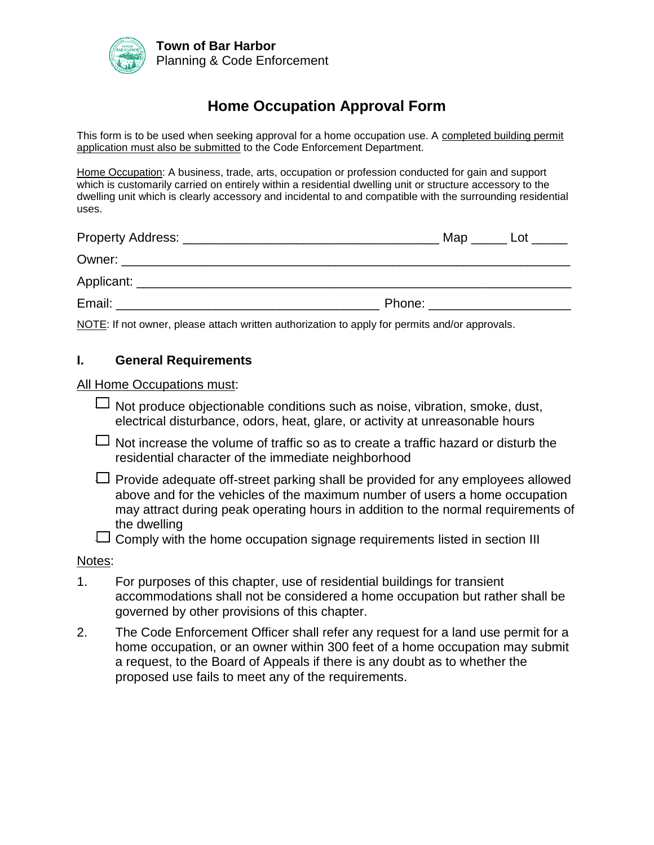

# **Home Occupation Approval Form**

This form is to be used when seeking approval for a home occupation use. A completed building permit application must also be submitted to the Code Enforcement Department.

Home Occupation: A business, trade, arts, occupation or profession conducted for gain and support which is customarily carried on entirely within a residential dwelling unit or structure accessory to the dwelling unit which is clearly accessory and incidental to and compatible with the surrounding residential uses.

| Property Address: _____________                                                                                                                                                                                                | Map    | Lot |
|--------------------------------------------------------------------------------------------------------------------------------------------------------------------------------------------------------------------------------|--------|-----|
| Owner: and the contract of the contract of the contract of the contract of the contract of the contract of the contract of the contract of the contract of the contract of the contract of the contract of the contract of the |        |     |
| Applicant:                                                                                                                                                                                                                     |        |     |
| Email:                                                                                                                                                                                                                         | Phone: |     |

NOTE: If not owner, please attach written authorization to apply for permits and/or approvals.

#### **I. General Requirements**

All Home Occupations must:

- $\Box$  Not produce objectionable conditions such as noise, vibration, smoke, dust, electrical disturbance, odors, heat, glare, or activity at unreasonable hours
- $\Box$  Not increase the volume of traffic so as to create a traffic hazard or disturb the residential character of the immediate neighborhood
- $\Box$  Provide adequate off-street parking shall be provided for any employees allowed above and for the vehicles of the maximum number of users a home occupation may attract during peak operating hours in addition to the normal requirements of the dwelling
- $\Box$  Comply with the home occupation signage requirements listed in section III

#### Notes:

- 1. For purposes of this chapter, use of residential buildings for transient accommodations shall not be considered a home occupation but rather shall be governed by other provisions of this chapter.
- 2. The Code Enforcement Officer shall refer any request for a land use permit for a home occupation, or an owner within 300 feet of a home occupation may submit a request, to the Board of Appeals if there is any doubt as to whether the proposed use fails to meet any of the requirements.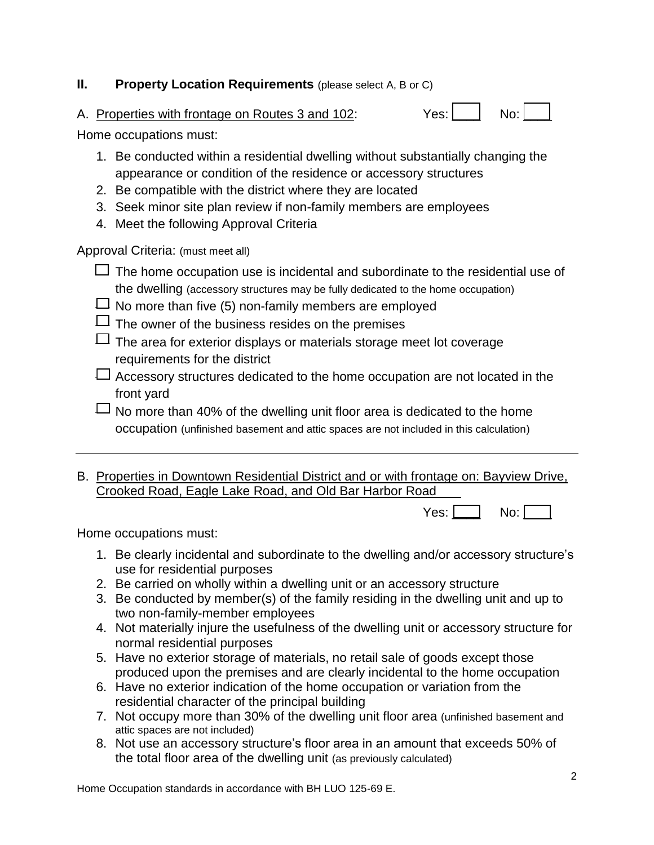## **II.** Property Location Requirements (please select A, B or C)

A. Properties with frontage on Routes 3 and 102: Y

| ′es: | No: |
|------|-----|
|------|-----|

Home occupations must:

- 1. Be conducted within a residential dwelling without substantially changing the appearance or condition of the residence or accessory structures
- 2. Be compatible with the district where they are located
- 3. Seek minor site plan review if non-family members are employees
- 4. Meet the following Approval Criteria

Approval Criteria: (must meet all)

- $\Box$  The home occupation use is incidental and subordinate to the residential use of the dwelling (accessory structures may be fully dedicated to the home occupation)
- $\Box$  No more than five (5) non-family members are employed
- $\Box$  The owner of the business resides on the premises
- $\Box$  The area for exterior displays or materials storage meet lot coverage requirements for the district
- $\Box$  Accessory structures dedicated to the home occupation are not located in the front yard
- $\Box$  No more than 40% of the dwelling unit floor area is dedicated to the home occupation (unfinished basement and attic spaces are not included in this calculation)
- B. Properties in Downtown Residential District and or with frontage on: Bayview Drive, Crooked Road, Eagle Lake Road, and Old Bar Harbor Road

 $Yes: \Box$  No:  $\Box$ 

Home occupations must:

- 1. Be clearly incidental and subordinate to the dwelling and/or accessory structure's use for residential purposes
- 2. Be carried on wholly within a dwelling unit or an accessory structure
- 3. Be conducted by member(s) of the family residing in the dwelling unit and up to two non-family-member employees
- 4. Not materially injure the usefulness of the dwelling unit or accessory structure for normal residential purposes
- 5. Have no exterior storage of materials, no retail sale of goods except those produced upon the premises and are clearly incidental to the home occupation
- 6. Have no exterior indication of the home occupation or variation from the residential character of the principal building
- 7. Not occupy more than 30% of the dwelling unit floor area (unfinished basement and attic spaces are not included)
- 8. Not use an accessory structure's floor area in an amount that exceeds 50% of the total floor area of the dwelling unit (as previously calculated)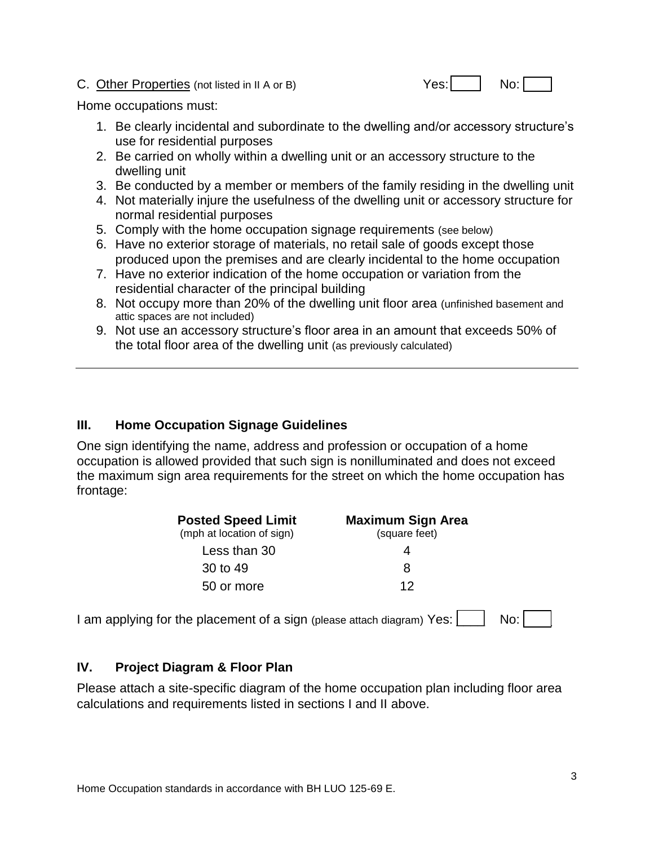### C. Other Properties (not listed in II A or B) Yes: | No: | No: |

Home occupations must:

- 1. Be clearly incidental and subordinate to the dwelling and/or accessory structure's use for residential purposes
- 2. Be carried on wholly within a dwelling unit or an accessory structure to the dwelling unit
- 3. Be conducted by a member or members of the family residing in the dwelling unit
- 4. Not materially injure the usefulness of the dwelling unit or accessory structure for normal residential purposes
- 5. Comply with the home occupation signage requirements (see below)
- 6. Have no exterior storage of materials, no retail sale of goods except those produced upon the premises and are clearly incidental to the home occupation
- 7. Have no exterior indication of the home occupation or variation from the residential character of the principal building
- 8. Not occupy more than 20% of the dwelling unit floor area (unfinished basement and attic spaces are not included)
- 9. Not use an accessory structure's floor area in an amount that exceeds 50% of the total floor area of the dwelling unit (as previously calculated)

## **III. Home Occupation Signage Guidelines**

One sign identifying the name, address and profession or occupation of a home occupation is allowed provided that such sign is nonilluminated and does not exceed the maximum sign area requirements for the street on which the home occupation has frontage:

| <b>Posted Speed Limit</b><br>(mph at location of sign) | <b>Maximum Sign Area</b><br>(square feet) |  |
|--------------------------------------------------------|-------------------------------------------|--|
| Less than 30                                           |                                           |  |
| 30 to 49                                               | 8                                         |  |
| 50 or more                                             | 12                                        |  |

I am applying for the placement of a sign (please attach diagram) Yes:  $\vert$   $\vert$  No:  $\vert$ 

## **IV. Project Diagram & Floor Plan**

Please attach a site-specific diagram of the home occupation plan including floor area calculations and requirements listed in sections I and II above.